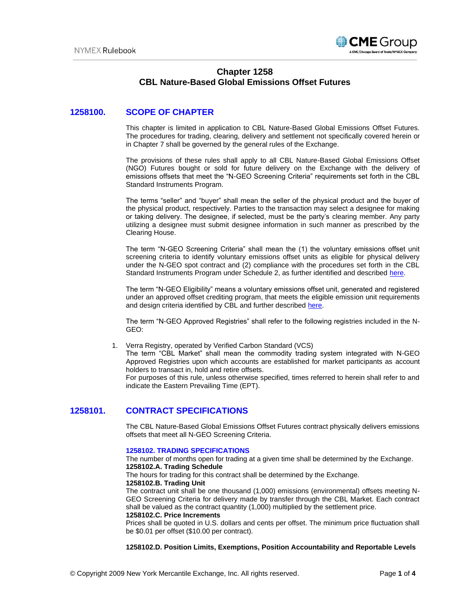

# **Chapter 1258 CBL Nature-Based Global Emissions Offset Futures**

# **1258100. SCOPE OF CHAPTER**

This chapter is limited in application to CBL Nature-Based Global Emissions Offset Futures. The procedures for trading, clearing, delivery and settlement not specifically covered herein or in Chapter 7 shall be governed by the general rules of the Exchange.

The provisions of these rules shall apply to all CBL Nature-Based Global Emissions Offset (NGO) Futures bought or sold for future delivery on the Exchange with the delivery of emissions offsets that meet the "N-GEO Screening Criteria" requirements set forth in the CBL Standard Instruments Program.

The terms "seller" and "buyer" shall mean the seller of the physical product and the buyer of the physical product, respectively. Parties to the transaction may select a designee for making or taking delivery. The designee, if selected, must be the party's clearing member. Any party utilizing a designee must submit designee information in such manner as prescribed by the Clearing House.

The term "N-GEO Screening Criteria" shall mean the (1) the voluntary emissions offset unit screening criteria to identify voluntary emissions offset units as eligible for physical delivery under the N-GEO spot contract and (2) compliance with the procedures set forth in the CBL Standard Instruments Program under Schedule 2, as further identified and described [here.](https://pub.lucidpress.com/CBL-Standard-Instruments-Program/#qwmjGnw0s9b6)

The term "N-GEO Eligibility" means a voluntary emissions offset unit, generated and registered under an approved offset crediting program, that meets the eligible emission unit requirements and design criteria identified by CBL and further described [here.](https://pub.lucidpress.com/CBL-Standard-Instruments-Program/#Mwmj9-lrE6Pe)

The term "N-GEO Approved Registries" shall refer to the following registries included in the N-GEO:

1. Verra Registry, operated by Verified Carbon Standard (VCS)

The term "CBL Market" shall mean the commodity trading system integrated with N-GEO Approved Registries upon which accounts are established for market participants as account holders to transact in, hold and retire offsets.

For purposes of this rule, unless otherwise specified, times referred to herein shall refer to and indicate the Eastern Prevailing Time (EPT).

# **1258101. CONTRACT SPECIFICATIONS**

The CBL Nature-Based Global Emissions Offset Futures contract physically delivers emissions offsets that meet all N-GEO Screening Criteria.

### **1258102. TRADING SPECIFICATIONS**

The number of months open for trading at a given time shall be determined by the Exchange. **1258102.A. Trading Schedule** 

The hours for trading for this contract shall be determined by the Exchange.

**1258102.B. Trading Unit** 

The contract unit shall be one thousand (1,000) emissions (environmental) offsets meeting N-GEO Screening Criteria for delivery made by transfer through the CBL Market. Each contract shall be valued as the contract quantity (1,000) multiplied by the settlement price.

### **1258102.C. Price Increments**

Prices shall be quoted in U.S. dollars and cents per offset. The minimum price fluctuation shall be \$0.01 per offset (\$10.00 per contract).

### **1258102.D. Position Limits, Exemptions, Position Accountability and Reportable Levels**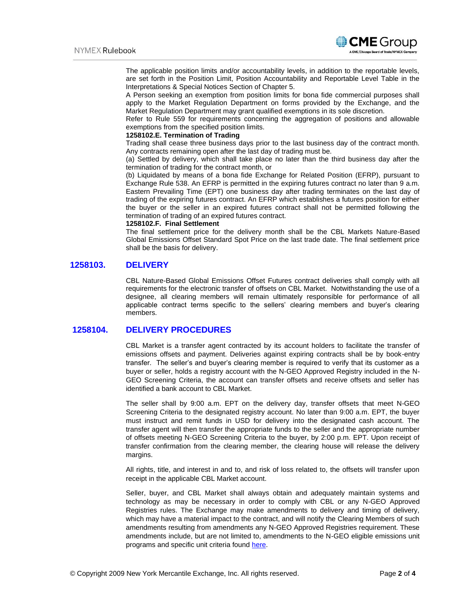

The applicable position limits and/or accountability levels, in addition to the reportable levels, are set forth in the Position Limit, Position Accountability and Reportable Level Table in the Interpretations & Special Notices Section of Chapter 5.

A Person seeking an exemption from position limits for bona fide commercial purposes shall apply to the Market Regulation Department on forms provided by the Exchange, and the Market Regulation Department may grant qualified exemptions in its sole discretion.

Refer to Rule 559 for requirements concerning the aggregation of positions and allowable exemptions from the specified position limits.

### **1258102.E. Termination of Trading**

Trading shall cease three business days prior to the last business day of the contract month. Any contracts remaining open after the last day of trading must be.

(a) Settled by delivery, which shall take place no later than the third business day after the termination of trading for the contract month, or

(b) Liquidated by means of a bona fide Exchange for Related Position (EFRP), pursuant to Exchange Rule 538. An EFRP is permitted in the expiring futures contract no later than 9 a.m. Eastern Prevailing Time (EPT) one business day after trading terminates on the last day of trading of the expiring futures contract. An EFRP which establishes a futures position for either the buyer or the seller in an expired futures contract shall not be permitted following the termination of trading of an expired futures contract.

#### **1258102.F. Final Settlement**

The final settlement price for the delivery month shall be the CBL Markets Nature-Based Global Emissions Offset Standard Spot Price on the last trade date. The final settlement price shall be the basis for delivery.

## **1258103. DELIVERY**

CBL Nature-Based Global Emissions Offset Futures contract deliveries shall comply with all requirements for the electronic transfer of offsets on CBL Market. Notwithstanding the use of a designee, all clearing members will remain ultimately responsible for performance of all applicable contract terms specific to the sellers' clearing members and buyer's clearing members.

# **1258104. DELIVERY PROCEDURES**

CBL Market is a transfer agent contracted by its account holders to facilitate the transfer of emissions offsets and payment. Deliveries against expiring contracts shall be by book-entry transfer. The seller's and buyer's clearing member is required to verify that its customer as a buyer or seller, holds a registry account with the N-GEO Approved Registry included in the N-GEO Screening Criteria, the account can transfer offsets and receive offsets and seller has identified a bank account to CBL Market.

The seller shall by 9:00 a.m. EPT on the delivery day, transfer offsets that meet N-GEO Screening Criteria to the designated registry account. No later than 9:00 a.m. EPT, the buyer must instruct and remit funds in USD for delivery into the designated cash account. The transfer agent will then transfer the appropriate funds to the seller and the appropriate number of offsets meeting N-GEO Screening Criteria to the buyer, by 2:00 p.m. EPT. Upon receipt of transfer confirmation from the clearing member, the clearing house will release the delivery margins.

All rights, title, and interest in and to, and risk of loss related to, the offsets will transfer upon receipt in the applicable CBL Market account.

Seller, buyer, and CBL Market shall always obtain and adequately maintain systems and technology as may be necessary in order to comply with CBL or any N-GEO Approved Registries rules. The Exchange may make amendments to delivery and timing of delivery, which may have a material impact to the contract, and will notify the Clearing Members of such amendments resulting from amendments any N-GEO Approved Registries requirement. These amendments include, but are not limited to, amendments to the N-GEO eligible emissions unit programs and specific unit criteria found [here.](https://pub.lucidpress.com/CBL-Standard-Instruments-Program/#Mwmj9-lrE6Pe)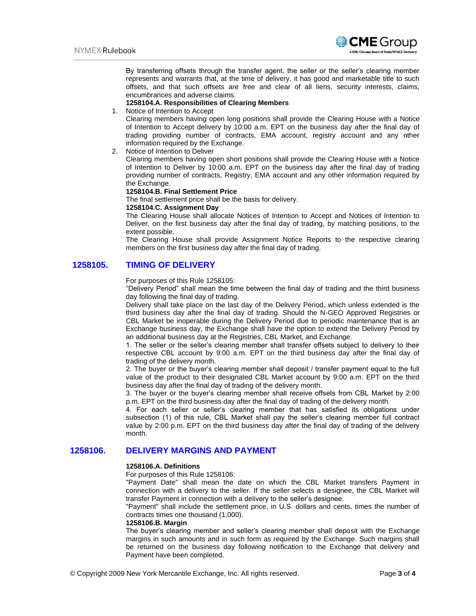

By transferring offsets through the transfer agent, the seller or the seller's clearing member represents and warrants that, at the time of delivery, it has good and marketable title to such offsets, and that such offsets are free and clear of all liens, security interests, claims, encumbrances and adverse claims.

### **1258104.A. Responsibilities of Clearing Members**

#### 1. Notice of Intention to Accept

Clearing members having open long positions shall provide the Clearing House with a Notice of Intention to Accept delivery by 10:00 a.m. EPT on the business day after the final day of trading providing number of contracts, EMA account, registry account and any other information required by the Exchange.

2. Notice of Intention to Deliver

Clearing members having open short positions shall provide the Clearing House with a Notice of Intention to Deliver by 10:00 a.m. EPT on the business day after the final day of trading providing number of contracts, Registry, EMA account and any other information required by the Exchange.

#### **1258104.B. Final Settlement Price**

The final settlement price shall be the basis for delivery.

#### **1258104.C. Assignment Day**

The Clearing House shall allocate Notices of Intention to Accept and Notices of Intention to Deliver, on the first business day after the final day of trading, by matching positions, to the extent possible.

The Clearing House shall provide Assignment Notice Reports to the respective clearing members on the first business day after the final day of trading.

# **1258105. TIMING OF DELIVERY**

#### For purposes of this Rule 1258105:

"Delivery Period" shall mean the time between the final day of trading and the third business day following the final day of trading.

Delivery shall take place on the last day of the Delivery Period, which unless extended is the third business day after the final day of trading. Should the N-GEO Approved Registries or CBL Market be inoperable during the Delivery Period due to periodic maintenance that is an Exchange business day, the Exchange shall have the option to extend the Delivery Period by an additional business day at the Registries, CBL Market, and Exchange.

1. The seller or the seller's clearing member shall transfer offsets subject to delivery to their respective CBL account by 9:00 a.m. EPT on the third business day after the final day of trading of the delivery month.

2. The buyer or the buyer's clearing member shall deposit / transfer payment equal to the full value of the product to their designated CBL Market account by 9:00 a.m. EPT on the third business day after the final day of trading of the delivery month.

3. The buyer or the buyer's clearing member shall receive offsets from CBL Market by 2:00 p.m. EPT on the third business day after the final day of trading of the delivery month.

4. For each seller or seller's clearing member that has satisfied its obligations under subsection (1) of this rule, CBL Market shall pay the seller's clearing member full contract value by 2:00 p.m. EPT on the third business day after the final day of trading of the delivery month.

# **1258106. DELIVERY MARGINS AND PAYMENT**

### **1258106.A. Definitions**

For purposes of this Rule 1258106:

"Payment Date" shall mean the date on which the CBL Market transfers Payment in connection with a delivery to the seller. If the seller selects a designee, the CBL Market will transfer Payment in connection with a delivery to the seller's designee.

"Payment" shall include the settlement price, in U.S. dollars and cents, times the number of contracts times one thousand (1,000).

#### **1258106.B. Margin**

The buyer's clearing member and seller's clearing member shall deposit with the Exchange margins in such amounts and in such form as required by the Exchange. Such margins shall be returned on the business day following notification to the Exchange that delivery and Payment have been completed.